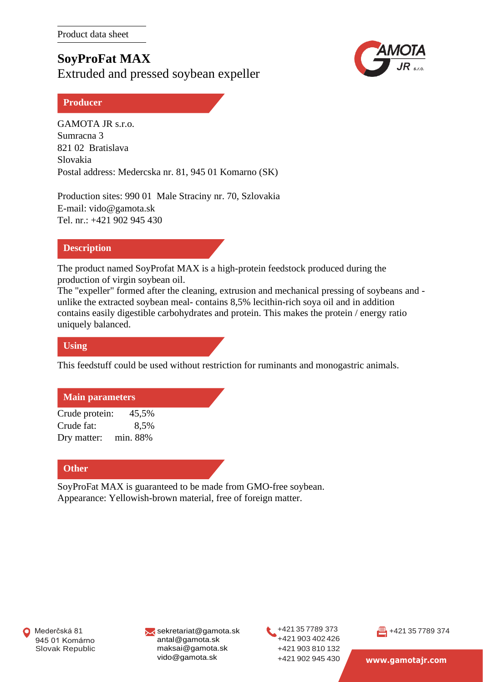**SoyProFat MAX** Extruded and pressed soybean expeller



## **Producer**

GAMOTA JR s.r.o. Sumracna 3 821 02 Bratislava Slovakia Postal address: Medercska nr. 81, 945 01 Komarno (SK)

Production sites: 990 01 Male Straciny nr. 70, Szlovakia E-mail: [vido@gamota.sk](mailto:vido@gamota.sk) Tel. nr.: +421 902 945 430

## **Description**

The product named SoyProfat MAX is a high-protein feedstock produced during the production of virgin soybean oil.

The "expeller" formed after the cleaning, extrusion and mechanical pressing of soybeans and unlike the extracted soybean meal- contains 8,5% lecithin-rich soya oil and in addition contains easily digestible carbohydrates and protein. This makes the protein / energy ratio uniquely balanced.

## **Using**

This feedstuff could be used without restriction for ruminants and monogastric animals.

# **Main parameters**

Crude protein: 45,5% Crude fat: 8,5% Dry matter: min. 88%

# **Other**

SoyProFat MAX is guaranteed to be made from GMO-free soybean. Appearance: Yellowish-brown material, free of foreign matter.

[sekretariat@gamota.sk](mailto:sekretariat@gamota.sk) [antal@gamota.sk](mailto:antal@gamota.sk) [maksai@gamota.sk](mailto:maksai@gamota.sk) vido@gamota.sk

+421 35 7789 373 +421 903 402 426 +421 903 810 132 +421 902 945 430



**[www.gamotajr.com](http://www.gamotajr.com/)**